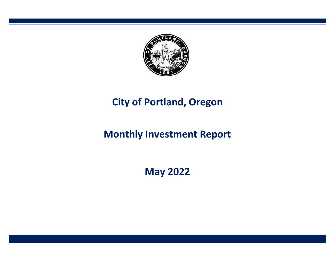

# **City of Portland, Oregon**

# **Monthly Investment Report**

**May 2022**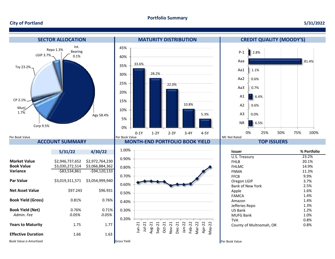#### **Portfolio Summary**

#### **City of Portland**

#### **5/31/2022**



**Effective Duration** 1.66 1.63

*0.05%* 

1.75 1.77

0.76% 0.71%

*0.05%* 







| Issuer                  | % Portfolio |
|-------------------------|-------------|
| U.S. Treasury           | 23.2%       |
| FHI B                   | 20.1%       |
| <b>FHLMC</b>            | 14.9%       |
| <b>FNMA</b>             | 11.3%       |
| <b>FFCB</b>             | 9.9%        |
| Oregon LGIP             | 3.7%        |
| <b>Bank of New York</b> | 2.5%        |
| Apple                   | 1.6%        |
| <b>FAMCA</b>            | 1.4%        |
| Amazon                  | 1.4%        |
| Jefferies Repo          | 1.3%        |
| US Bank                 | 1.2%        |
| MUFG Bank               | 1.0%        |
| TVA                     | $0.8\%$     |
| County of Multnomah, OR | 0.8%        |
|                         |             |

Book Value is Amortized and Cross Yield Cross Yield Cross Yield Per Book Value Per Book Value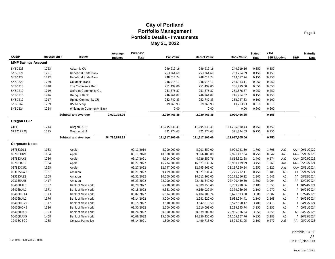| <b>CUSIP</b>               | Investment# | <b>Issuer</b>                | Average<br><b>Balance</b> | <b>Purchase</b><br>Date | <b>Par Value</b> | <b>Market Value</b> | <b>Book Value</b> | <b>Stated</b><br>Rate | <b>YTM</b><br>365 Moody's | S&P | <b>Maturity</b><br>Date |
|----------------------------|-------------|------------------------------|---------------------------|-------------------------|------------------|---------------------|-------------------|-----------------------|---------------------------|-----|-------------------------|
| <b>MMF Savings Account</b> |             |                              |                           |                         |                  |                     |                   |                       |                           |     |                         |
| SYS1223                    | 1223        | <b>Advantis CU</b>           |                           |                         | 249,919.16       | 249,919.16          | 249,919.16        | 0.350                 | 0.350                     |     |                         |
| SYS1221                    | 1221        | <b>Beneficial State Bank</b> |                           |                         | 253,264.69       | 253,264.69          | 253,264.69        | 0.150                 | 0.150                     |     |                         |
| SYS1222                    | 1222        | <b>Beneficial State Bank</b> |                           |                         | 248,017.74       | 248,017.74          | 248,017.74        | 0.150                 | 0.150                     |     |                         |
| SYS1220                    | 1220        | Columbia Bank                |                           |                         | 246,913.11       | 246,913.11          | 246,913.11        | 0.050                 | 0.050                     |     |                         |
| SYS1218                    | 1218        | The Commerce Bank            |                           |                         | 251,499.00       | 251,499.00          | 251,499.00        | 0.050                 | 0.050                     |     |                         |
| SYS1219                    | 1219        | OnPoint Community CU         |                           |                         | 251,876.87       | 251,876.87          | 251,876.87        | 0.250                 | 0.250                     |     |                         |
| SYS1216                    | 1216        | Umpqua Bank                  |                           |                         | 246,964.02       | 246,964.02          | 246,964.02        | 0.150                 | 0.150                     |     |                         |
| SYS1217                    | 1217        | Unitus Community CU          |                           |                         | 252,747.83       | 252,747.83          | 252,747.83        | 0.100                 | 0.100                     |     |                         |
| SYS1269                    | 1269        | US Bancorp                   |                           |                         | 19,263.93        | 19,263.93           | 19,263.93         | 0.010                 | 0.010                     |     |                         |
| SYS1224                    | 1224        | Willamette Community Bank    |                           |                         | 0.00             | 0.00                | 0.00              | 0.600                 | 0.600                     |     |                         |
|                            |             | <b>Subtotal and Average</b>  | 2,020,328.26              |                         | 2,020,466.35     | 2,020,466.35        | 2,020,466.35      |                       | 0.155                     |     |                         |
| <b>Oregon LGIP</b>         |             |                              |                           |                         |                  |                     |                   |                       |                           |     |                         |
| <b>CITY</b>                | 1214        | Oregon LGIP                  |                           |                         | 111,295,330.43   | 111,295,330.43      | 111,295,330.43    | 0.750                 | 0.750                     |     |                         |
| <b>SPEC PROJ</b>           | 1215        | Oregon LGIP                  |                           |                         | 321,774.63       | 321,774.63          | 321,774.63        | 0.750                 | 0.750                     |     |                         |
|                            |             | <b>Subtotal and Average</b>  | 54,786,878.82             |                         | 111,617,105.06   | 111,617,105.06      | 111,617,105.06    |                       | 0.750                     |     |                         |
| <b>Corporate Notes</b>     |             |                              |                           |                         |                  |                     |                   |                       |                           |     |                         |
| 037833DL1                  | 1083        | Apple                        |                           | 09/11/2019              | 5,000,000.00     | 5,001,550.00        | 4,999,921.30      | 1.700                 | 1.706<br>Aa1              |     | AA+ 09/11/2022          |
| 037833DV9                  | 1084        | Apple                        |                           | 05/11/2020              | 10,000,000.00    | 9,866,400.00        | 9,991,437.04      | 0.750                 | 0.842<br>Aa1              |     | AA+ 05/11/2023          |
| 037833AK6                  | 1286        | Apple                        |                           | 05/17/2021              | 4,724,000.00     | 4,729,857.76        | 4,816,302.68      | 2.400                 | 0.274<br>Aa1              |     | AA+ 05/03/2023          |
| 037833AS9                  | 1364        | Apple                        |                           | 01/27/2022              | 16,274,000.00    | 16,521,039.32       | 16,950,139.99     | 3.450                 | 1.260<br>Aaa              |     | AA+ 05/06/2024          |
| 037833CU2                  | 1365        | Apple                        |                           | 01/27/2022              | 12,747,000.00    | 12,795,566.07       | 13,117,560.24     | 2.850                 | 1.327<br>Aaa              |     | AA+ 05/11/2024          |
| 023135BW5                  | 1361        | Amazon                       |                           | 01/21/2022              | 9,409,000.00     | 9,021,631.47        | 9,276,292.11      | 0.450                 | 1.186<br>A1               |     | AA 05/12/2024           |
| 023135AZ9                  | 1368        | Amazon                       |                           | 01/31/2022              | 10,000,000.00    | 10,011,300.00       | 10,272,566.12     | 2.800                 | 1.546                     | A1  | AA 08/22/2024           |
| 023135AN6                  | 1417        | Amazon                       |                           | 05/23/2022              | 22,000,000.00    | 22,488,840.00       | 22,420,439.30     | 3.800                 | 3.004<br>A1               |     | AA 12/05/2024           |
| 06406RAL1                  | 1367        | <b>Bank of New York</b>      |                           | 01/28/2022              | 6,210,000.00     | 6,089,153.40        | 6,289,790.56      | 2.100                 | 1.550                     | A1  | A 10/24/2024            |
| 06406RAL1                  | 1371        | <b>Bank of New York</b>      |                           | 02/18/2022              | 9,351,000.00     | 9,169,029.54        | 9,379,069.26      | 2.100                 | 1.970                     | A1  | A 10/24/2024            |
| 06406HDA4                  | 1373        | Bank of New York             |                           | 03/02/2022              | 6,514,000.00     | 6,484,100.74        | 6,671,513.08      | 3.000                 | 2.082<br>A1               |     | A 02/24/2025            |
| 06406RAL1                  | 1376        | Bank of New York             |                           | 03/14/2022              | 3,000,000.00     | 2,941,620.00        | 2,988,294.41      | 2.100                 | 2.268<br>A1               |     | A 10/24/2024            |
| 06406HCV9                  | 1377        | Bank of New York             |                           | 03/15/2022              | 3,510,000.00     | 3,542,818.50        | 3,572,550.17      | 3.400                 | 2.418<br>A1               |     | A 04/15/2024            |
| 06406HCX5                  | 1386        | Bank of New York             |                           | 03/30/2022              | 2,200,000.00     | 2,210,098.00        | 2,219,145.74      | 3.250                 | 2.851<br>A1               |     | A 09/11/2024            |
| 06406RBC0                  | 1393        | Bank of New York             |                           | 04/26/2022              | 30,000,000.00    | 30,039,300.00       | 29,995,936.24     | 3.350                 | 3.355<br>A <sub>1</sub>   |     | A+ 04/25/2025           |
| 06406RAX5                  | 1408        | <b>Bank of New York</b>      |                           | 05/06/2022              | 15,000,000.00    | 14,250,450.00       | 14, 165, 107. 76  | 0.850                 | 3.283<br>A1               |     | A 10/25/2024            |
| 19416QEC0                  | 1285        | Colgate-Palmolive            |                           | 05/14/2021              | 1,500,000.00     | 1,499,715.00        | 1,524,981.05      | 2.100                 | 0.277<br>Aa3              |     | AA- 05/01/2023          |

Portfolio PORT AP Run Date: 06/06/2022 - 10:05 PM (PRF\_PM2) 7.3.0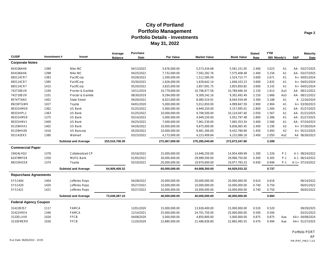|                              |             |                             | Average        | Purchase   |                |                     |                   | <b>Stated</b> | <b>YTM</b>  |                |     | <b>Maturity</b> |
|------------------------------|-------------|-----------------------------|----------------|------------|----------------|---------------------|-------------------|---------------|-------------|----------------|-----|-----------------|
| <b>CUSIP</b>                 | Investment# | <b>Issuer</b>               | <b>Balance</b> | Date       | Par Value      | <b>Market Value</b> | <b>Book Value</b> | Rate          | 365 Moody's |                | S&P | Date            |
| <b>Corporate Notes</b>       |             |                             |                |            |                |                     |                   |               |             |                |     |                 |
| 654106AH6                    | 1390        | Nike INC                    |                | 04/13/2022 | 5,676,000.00   | 5,573,434.68        | 5,581,151.05      | 2.400         | 3.023       | A1             |     | AA- 03/27/2025  |
| 654106AH6                    | 1398        | Nike INC                    |                | 04/25/2022 | 7,732,000.00   | 7,592,282.76        | 7,575,408.48      | 2.400         | 3.156       | A1             |     | AA- 03/27/2025  |
| 695114CR7                    | 1383        | PacifiCorp                  |                | 03/28/2022 | 1,500,000.00   | 1,512,585.00        | 1,524,715.77      | 3.600         | 2.671       | A <sub>1</sub> |     | A+ 04/01/2024   |
| 695114CR7                    | 1385        | PacifiCorp                  |                | 03/30/2022 | 1,626,000.00   | 1,639,642.14        | 1,648,103.23      | 3.600         | 2.832       | A <sub>1</sub> |     | A+ 04/01/2024   |
| 685114CR7                    | 1415        | PacifiCorp                  |                | 05/20/2022 | 3,825,000.00   | 3,857,091.75        | 3,855,850.82      | 3.600         | 3.142       | A1             |     | A+ 04/01/2024   |
| 742718EU9                    | 1100        | Procter & Gamble            |                | 10/11/2019 | 10,779,000.00  | 10,796,677.56       | 10,789,946.34     | 2.150         | 1.613       | Aa3            |     | AA- 08/11/2022  |
| 742718EU9                    | 1101        | Procter & Gamble            |                | 08/30/2019 | 9,294,000.00   | 9,309,242.16        | 9,302,492.49      | 2.150         | 1.666       | Aa3            |     | AA- 08/11/2022  |
| 857477AN3                    | 1401        | <b>State Street</b>         |                | 04/26/2022 | 8,023,000.00   | 8,080,524.91        | 8,044,559.49      | 3.300         | 3.188       | A1             |     | A 12/16/2024    |
| 89236TGW9                    | 1027        | Toyota                      |                | 04/01/2020 | 5,000,000.00   | 5,012,850.00        | 4,999,847.59      | 2.900         | 2.904       | A1             |     | A+ 03/30/2023   |
| 90331HMS9                    | 1362        | US Bank                     |                | 01/25/2022 | 5,000,000.00   | 4,949,250.00        | 5,157,095.01      | 2.800         | 1.584       | A1             |     | AA- 01/27/2025  |
| 90331HPL1                    | 1363        | US Bank                     |                | 01/25/2022 | 10,000,000.00  | 9,708,500.00        | 10,124,047.40     | 2.050         | 1.567       | A1             |     | AA- 01/21/2025  |
| 90331HMS9                    | 1375        | US Bank                     |                | 03/14/2022 | 5,000,000.00   | 4,949,250.00        | 5,052,797.48      | 2.800         | 2.386       | A1             |     | AA- 01/27/2025  |
| 90331HNV1                    | 1400        | US Bank                     |                | 04/25/2022 | 7,000,000.00   | 7,061,530.00        | 7,065,353.34      | 3.400         | 2.566       | A <sub>1</sub> |     | AA- 07/24/2023  |
| 91159HHX1                    | 1402        | US Bank                     |                | 04/26/2022 | 10,000,000.00  | 9,875,000.00        | 9,836,065.45      | 2.400         | 3.190       | A2             |     | A+ 07/30/2024   |
| 91159HHZ6                    | 1416        | US Bancorp                  |                | 05/20/2022 | 10,000,000.00  | 9,481,300.00        | 9,432,780.69      | 1.450         | 3.493       | A <sub>2</sub> |     | A+ 05/12/2025   |
| 931142EK5                    | 1380        | Walmart                     |                | 03/23/2022 | 4,173,000.00   | 4,223,409.84        | 4,232,086.18      | 3.400         | 2.050       | Aa2            |     | AA 06/26/2023   |
|                              |             | <b>Subtotal and Average</b> | 253,516,708.39 |            | 272,067,000.00 | 270,285,040.60      | 272,873,347.86    |               | 2.289       |                |     |                 |
| <b>Commercial Paper</b>      |             |                             |                |            |                |                     |                   |               |             |                |     |                 |
| 19424JHQ2                    | 1378        | Collateralized CP           |                | 03/16/2022 | 15,000,000.00  | 14,948,250.00       | 14,954,499.99     | 1.300         | 1.326       | $P-1$          |     | A-1 08/24/2022  |
| 62479MFE8                    | 1350        | <b>MUFG Bank</b>            |                | 01/05/2022 | 30,000,000.00  | 29,989,500.00       | 29,996,750.00     | 0.300         | 0.305       | $P-1$          |     | A-1 06/14/2022  |
| 89233HGE8                    | 1374        | Toyota                      |                | 03/10/2022 | 20,000,000.00  | 19,970,600.00       | 19,977,783.33     | 0.930         | 0.946       | $P-1$          |     | A-1+ 07/14/2022 |
|                              |             | <b>Subtotal and Average</b> | 64,909,408.32  |            | 65,000,000.00  | 64,908,350.00       | 64,929,033.32     |               | 0.737       |                |     |                 |
| <b>Repurchase Agreements</b> |             |                             |                |            |                |                     |                   |               |             |                |     |                 |
| SYS1404                      | 1404        | Jefferies Repo              |                | 04/28/2022 | 20,000,000.00  | 20,000,000.00       | 20,000,000.00     | 0.610         | 0.618       |                |     | 06/14/2022      |
| SYS1420                      | 1420        | Jefferies Repo              |                | 05/27/2022 | 10,000,000.00  | 10,000,000.00       | 10,000,000.00     | 0.740         | 0.750       |                |     | 06/01/2022      |
| SYS1421                      | 1421        | Jefferies Repo              |                | 05/27/2022 | 10,000,000.00  | 10,000,000.00       | 10,000,000.00     | 0.740         | 0.750       |                |     | 06/02/2022      |
|                              |             | <b>Subtotal and Average</b> | 73,548,387.10  |            | 40,000,000.00  | 40,000,000.00       | 40,000,000.00     |               | 0.684       |                |     |                 |
| <b>Federal Agency Coupon</b> |             |                             |                |            |                |                     |                   |               |             |                |     |                 |
|                              |             |                             |                |            |                |                     |                   |               |             |                |     |                 |
| 31422B3S7                    | 1117        | <b>FAMCA</b>                |                | 12/01/2020 | 15,000,000.00  | 13,928,400.00       | 15,000,000.00     | 0.520         | 0.520       |                |     | 09/29/2025      |
| 31422XRE4                    | 1346        | <b>FAMCA</b>                |                | 12/14/2021 | 25,000,000.00  | 24,701,750.00       | 25,000,000.00     | 0.500         | 0.500       |                |     | 03/31/2023      |
| 3133ELVX9                    | 1026        | <b>FFCB</b>                 |                | 04/08/2020 | 5,000,000.00   | 4,850,800.00        | 5,000,000.00      | 0.875         | 0.875       | Aaa            |     | AA+ 04/08/2024  |
| 3133EMER9                    | 1030        | <b>FFCB</b>                 |                | 11/20/2020 | 22,880,000.00  | 21,486,836.80       | 22,865,485.55     | 0.470         | 0.494       | Aaa            |     | AA+ 01/27/2025  |

Portfolio PORT AP Run Date: 06/06/2022 - 10:05 PM (PRF\_PM2) 7.3.0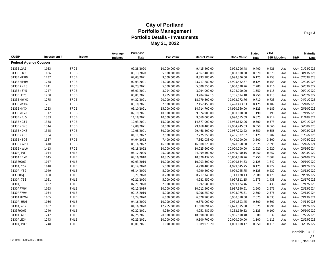|                              |             |               | Average        | Purchase   |               |                     |                   | <b>Stated</b> | <b>YTM</b>  |     |     | <b>Maturity</b> |
|------------------------------|-------------|---------------|----------------|------------|---------------|---------------------|-------------------|---------------|-------------|-----|-----|-----------------|
| <b>CUSIP</b>                 | Investment# | <b>Issuer</b> | <b>Balance</b> | Date       | Par Value     | <b>Market Value</b> | <b>Book Value</b> | Rate          | 365 Moody's |     | S&P | Date            |
| <b>Federal Agency Coupon</b> |             |               |                |            |               |                     |                   |               |             |     |     |                 |
| 3133EL2A1                    | 1033        | <b>FFCB</b>   |                | 07/28/2020 | 10,000,000.00 | 9,415,400.00        | 9,993,206.48      | 0.400         | 0.426       | Aaa |     | AA+ 01/28/2025  |
| 3133EL3Y8                    | 1036        | <b>FFCB</b>   |                | 08/13/2020 | 5,000,000.00  | 4,567,400.00        | 5,000,000.00      | 0.670         | 0.670       | Aaa |     | AA+ 08/13/2026  |
| 3133EMPH9                    | 1237        | <b>FFCB</b>   |                | 02/03/2021 | 9,000,000.00  | 8,893,980.00        | 8,998,306.00      | 0.125         | 0.153       | Aaa |     | AA+ 02/03/2023  |
| 3133EMPH9                    | 1238        | <b>FFCB</b>   |                | 02/03/2021 | 24,000,000.00 | 23,717,280.00       | 23,995,482.67     | 0.125         | 0.153       | Aaa |     | AA+ 02/03/2023  |
| 3133EKNR3                    | 1241        | <b>FFCB</b>   |                | 02/23/2021 | 5,000,000.00  | 5,000,350.00        | 5,000,578.26      | 2.200         | 0.116       | Aaa |     | AA+ 06/03/2022  |
| 3133EKZY5                    | 1247        | <b>FFCB</b>   |                | 03/01/2021 | 3,294,000.00  | 3,294,000.00        | 3,294,000.00      | 1.550         | 0.115       | Aaa |     | AA+ 06/01/2022  |
| 3133ELE75                    | 1250        | <b>FFCB</b>   |                | 03/01/2021 | 3,785,000.00  | 3,784,962.15        | 3,785,014.18      | 0.250         | 0.115       | Aaa |     | AA+ 06/02/2022  |
| 3133EMWH1                    | 1275        | <b>FFCB</b>   |                | 04/22/2021 | 20,000,000.00 | 18,779,800.00       | 19,992,772.76     | 0.710         | 0.723       | Aaa |     | AA+ 04/21/2025  |
| 3133EMYX4                    | 1281        | <b>FFCB</b>   |                | 05/10/2021 | 2,500,000.00  | 2,452,450.00        | 2,498,493.33      | 0.125         | 0.189       | Aaa |     | AA+ 05/10/2023  |
| 3133EMYX4                    | 1283        | <b>FFCB</b>   |                | 05/10/2021 | 15,000,000.00 | 14,714,700.00       | 14,990,960.00     | 0.125         | 0.189       | Aaa |     | AA+ 05/10/2023  |
| 3133EMT28                    | 1312        | <b>FFCB</b>   |                | 07/19/2021 | 10,000,000.00 | 9,024,900.00        | 10,000,000.00     | 1.190         | 1.190       | Aaa |     | AA+ 07/19/2028  |
| 3133ENEJ5                    | 1333        | <b>FFCB</b>   |                | 11/18/2021 | 10,000,000.00 | 9,569,000.00        | 9,990,555.09      | 0.875         | 0.914       | Aaa |     | AA+ 11/18/2024  |
| 3133ENGF1                    | 1338        | <b>FFCB</b>   |                | 12/03/2021 | 15,000,000.00 | 14,577,000.00       | 14,983,642.06     | 0.500         | 0.573       | Aaa |     | AA+ 12/01/2023  |
| 3133ENDK3                    | 1344        | <b>FFCB</b>   |                | 12/08/2021 | 30,000,000.00 | 29,468,400.00       | 29,934,245.63     | 0.350         | 0.566       | Aaa |     | AA+ 06/08/2023  |
| 3133ENDK3                    | 1345        | <b>FFCB</b>   |                | 12/08/2021 | 30,000,000.00 | 29,468,400.00       | 29,937,202.22     | 0.350         | 0.556       | Aaa |     | AA+ 06/08/2023  |
| 3133ENKS8                    | 1354        | <b>FFCB</b>   |                | 01/11/2022 | 7,500,000.00  | 7,225,350.00        | 7,485,322.67      | 1.125         | 1.202       | Aaa |     | AA+ 01/06/2025  |
| 3133ENTQ3                    | 1387        | <b>FFCB</b>   |                | 04/04/2022 | 7,400,000.00  | 7,362,038.00        | 7,400,000.00      | 3.500         | 3.500       | Aaa |     | AA+ 04/04/2029  |
| 3133ENWP1                    | 1410        | <b>FFCB</b>   |                | 05/16/2022 | 16,000,000.00 | 16,008,320.00       | 15,978,850.00     | 2.625         | 2.695       | Aaa |     | AA+ 05/16/2024  |
| 3133ENWL0                    | 1413        | <b>FFCB</b>   |                | 05/18/2022 | 10,000,000.00 | 10,025,600.00       | 10,000,000.00     | 2.920         | 2.920       | Aaa |     | AA+ 05/16/2024  |
| 3130AJPU7                    | 1044        | <b>FHLB</b>   |                | 06/12/2020 | 25,000,000.00 | 24,999,500.00       | 24,999,990.15     | 0.250         | 0.257       | Aaa |     | AA+ 06/03/2022  |
| 3130AEBM1                    | 1045        | <b>FHLB</b>   |                | 07/16/2018 | 10,865,000.00 | 10,870,432.50       | 10,864,850.26     | 2.750         | 2.807       | Aaa |     | AA+ 06/10/2022  |
| 313379Q69                    | 1047        | <b>FHLB</b>   |                | 07/03/2019 | 10,000,000.00 | 10,003,500.00       | 10,000,684.83     | 2.125         | 1.842       | Aaa |     | AA+ 06/10/2022  |
| 3130AJY52                    | 1048        | <b>FHLB</b>   |                | 08/14/2020 | 5,000,000.00  | 4,990,400.00        | 4,999,045.75      | 0.125         | 0.222       | Aaa |     | AA+ 08/12/2022  |
| 3130AJY52                    | 1049        | <b>FHLB</b>   |                | 08/14/2020 | 5,000,000.00  | 4,990,400.00        | 4,999,045.75      | 0.125         | 0.222       | Aaa |     | AA+ 08/12/2022  |
| 313380GJ0                    | 1050        | <b>FHLB</b>   |                | 10/21/2020 | 8,700,000.00  | 8,717,748.00        | 8,743,120.43      | 2.000         | 0.175       | Aaa |     | AA+ 09/09/2022  |
| 3130AJ7E3                    | 1051        | <b>FHLB</b>   |                | 02/21/2020 | 5,000,000.00  | 4,981,450.00        | 4,997,811.15      | 1.375         | 1.438       | Aaa |     | AA+ 02/17/2023  |
| 3130AJ7E3                    | 1052        | <b>FHLB</b>   |                | 02/21/2020 | 2,000,000.00  | 1,992,580.00        | 1,999,124.46      | 1.375         | 1.438       | Aaa |     | AA+ 02/17/2023  |
| 3130AFW94                    | 1053        | <b>FHLB</b>   |                | 02/15/2019 | 10,000,000.00 | 10,012,500.00       | 9,987,950.61      | 2.500         | 2.576       | Aaa |     | AA+ 02/13/2024  |
| 3130AFW94                    | 1054        | <b>FHLB</b>   |                | 02/15/2019 | 5,000,000.00  | 5,006,250.00        | 4,993,975.31      | 2.500         | 2.576       | Aaa |     | AA+ 02/13/2024  |
| 3130A2UW4                    | 1055        | <b>FHLB</b>   |                | 11/24/2020 | 6,600,000.00  | 6,628,908.00        | 6,980,318.80      | 2.875         | 0.333       | Aaa |     | AA+ 09/13/2024  |
| 3130AJHU6                    | 1056        | <b>FHLB</b>   |                | 04/16/2020 | 10,000,000.00 | 9,378,000.00        | 9,971,503.45      | 0.500         | 0.601       | Aaa |     | AA+ 04/14/2025  |
| 3130AJ4B2                    | 1057        | <b>FHLB</b>   |                | 04/16/2020 | 12,265,000.00 | 11,588,094.65       | 12,623,395.58     | 1.625         | 0.991       | Aaa |     | AA+ 03/12/2027  |
| 313379Q69                    | 1240        | <b>FHLB</b>   |                | 02/22/2021 | 4,250,000.00  | 4,251,487.50        | 4,252,149.52      | 2.125         | 0.100       | Aaa |     | AA+ 06/10/2022  |
| 3130AL6F6                    | 1242        | <b>FHLB</b>   |                | 02/25/2021 | 20,000,000.00 | 18,090,800.00       | 19,956,590.48     | 1.000         | 1.039       | Aaa |     | AA+ 02/25/2028  |
| 3130ALE34                    | 1243        | <b>FHLB</b>   |                | 02/25/2021 | 10,000,000.00 | 9,100,700.00        | 10,000,000.00     | 1.100         | 1.115       | Aaa |     | AA+ 02/25/2028  |
| 3130AJPU7                    | 1248        | <b>FHLB</b>   |                | 03/01/2021 | 1,090,000.00  | 1,089,978.20        | 1,090,008.17      | 0.250         | 0.115       | Aaa |     | AA+ 06/03/2022  |

Portfolio PORT AP Run Date: 06/06/2022 - 10:05 PM (PRF\_PM2) 7.3.0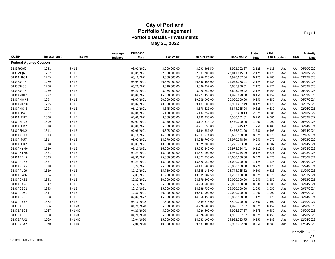|                              |             |               | Average        | Purchase   |               |                     |                   | <b>Stated</b> | <b>YTM</b>  |     |     | <b>Maturity</b> |
|------------------------------|-------------|---------------|----------------|------------|---------------|---------------------|-------------------|---------------|-------------|-----|-----|-----------------|
| <b>CUSIP</b>                 | Investment# | <b>Issuer</b> | <b>Balance</b> | Date       | Par Value     | <b>Market Value</b> | <b>Book Value</b> | Rate          | 365 Moody's |     | S&P | Date            |
| <b>Federal Agency Coupon</b> |             |               |                |            |               |                     |                   |               |             |     |     |                 |
| 313379Q69                    | 1251        | <b>FHLB</b>   |                | 03/01/2021 | 3,990,000.00  | 3,991,396.50        | 3,992,002.87      | 2.125         | 0.115       | Aaa |     | AA+ 06/10/2022  |
| 313379Q69                    | 1252        | <b>FHLB</b>   |                | 03/05/2021 | 22,000,000.00 | 22,007,700.00       | 22,011,015.33     | 2.125         | 0.120       | Aaa |     | AA+ 06/10/2022  |
| 3130ALRG1                    | 1255        | <b>FHLB</b>   |                | 03/18/2021 | 3,000,000.00  | 2,956,320.00        | 2,998,687.34      | 0.125         | 0.180       | Aaa |     | AA+ 03/17/2023  |
| 3133834G3                    | 1279        | <b>FHLB</b>   |                | 05/05/2021 | 20,665,000.00 | 20,648,468.00       | 21,073,778.91     | 2.125         | 0.185       | Aaa |     | AA+ 06/09/2023  |
| 3133834G3                    | 1288        | <b>FHLB</b>   |                | 05/20/2021 | 3,810,000.00  | 3,806,952.00        | 3,885,930.51      | 2.125         | 0.171       | Aaa |     | AA+ 06/09/2023  |
| 3133834G3                    | 1289        | <b>FHLB</b>   |                | 05/20/2021 | 8,435,000.00  | 8,428,252.00        | 8,603,729.22      | 2.125         | 0.164       | Aaa |     | AA+ 06/09/2023  |
| 3130AMNF5                    | 1292        | <b>FHLB</b>   |                | 06/09/2021 | 15,000,000.00 | 14,727,450.00       | 14,998,620.00     | 0.150         | 0.159       | Aaa |     | AA+ 06/09/2023  |
| 3130AMQR6                    | 1294        | <b>FHLB</b>   |                | 06/07/2021 | 20,000,000.00 | 19,209,000.00       | 20,000,000.00     | 0.350         | 0.350       | Aaa |     | AA+ 06/07/2024  |
| 3130AMRY0                    | 1295        | <b>FHLB</b>   |                | 06/04/2021 | 40,000,000.00 | 39,187,600.00       | 39,981,497.49     | 0.125         | 0.171       | Aaa |     | AA+ 06/02/2023  |
| 3130AMGJ5                    | 1298        | <b>FHLB</b>   |                | 06/11/2021 | 4,845,000.00  | 4,578,621.90        | 4,844,285.04      | 0.625         | 0.630       | Aaa |     | AA+ 02/26/2025  |
| 3130A5P45                    | 1307        | <b>FHLB</b>   |                | 07/06/2021 | 6,100,000.00  | 6,102,257.00        | 6,103,488.13      | 2.375         | 0.086       | Aaa |     | AA+ 06/10/2022  |
| 3130AJPU7                    | 1308        | <b>FHLB</b>   |                | 07/06/2021 | 3,500,000.00  | 3,499,930.00        | 3,500,031.81      | 0.250         | 0.086       | Aaa |     | AA+ 06/03/2022  |
| 3130AMT28                    | 1309        | <b>FHLB</b>   |                | 07/07/2021 | 5,470,000.00  | 5,114,614.10        | 5,470,000.00      | 1.000         | 1.000       | Aaa |     | AA+ 06/30/2026  |
| 3130A8HK2                    | 1310        | <b>FHLB</b>   |                | 07/08/2021 | 5,000,000.00  | 4,912,650.00        | 5,135,945.12      | 1.750         | 0.405       | Aaa |     | AA+ 06/14/2024  |
| 3130A8HK2                    | 1311        | <b>FHLB</b>   |                | 07/08/2021 | 6,305,000.00  | 6,194,851.65        | 6,476,501.20      | 1.750         | 0.405       | Aaa |     | AA+ 06/14/2024  |
| 3130ANDT4                    | 1313        | <b>FHLB</b>   |                | 08/16/2021 | 16,600,000.00 | 16,083,574.00       | 16,600,000.00     | 0.375         | 0.375       | Aaa |     | AA+ 02/16/2024  |
| 3130AJPU7                    | 1314        | <b>FHLB</b>   |                | 08/02/2021 | 14,970,000.00 | 14,969,700.60       | 14,970,148.80     | 0.250         | 0.071       | Aaa |     | AA+ 06/03/2022  |
| 3130A8HK2                    | 1318        | <b>FHLB</b>   |                | 09/03/2021 | 10,000,000.00 | 9,825,300.00        | 10,276,723.98     | 1.750         | 0.382       | Aaa |     | AA+ 06/14/2024  |
| 3130ANYM6                    | 1320        | <b>FHLB</b>   |                | 09/10/2021 | 16,000,000.00 | 15,595,840.00       | 15,978,584.41     | 0.125         | 0.233       | Aaa |     | AA+ 08/28/2023  |
| 3130ANYM6                    | 1321        | <b>FHLB</b>   |                | 09/23/2021 | 15,000,000.00 | 14,621,100.00       | 14,981,245.29     | 0.125         | 0.226       | Aaa |     | AA+ 08/28/2023  |
| 3130APBH7                    | 1323        | <b>FHLB</b>   |                | 09/30/2021 | 25,000,000.00 | 23,877,750.00       | 25,000,000.00     | 0.570         | 0.570       | Aaa |     | AA+ 09/30/2024  |
| 3130APCH6                    | 1324        | <b>FHLB</b>   |                | 09/29/2021 | 15,000,000.00 | 13,828,050.00       | 15,000,000.00     | 1.125         | 1.125       | Aaa |     | AA+ 09/29/2026  |
| 3130APUK9                    | 1328        | <b>FHLB</b>   |                | 11/24/2021 | 25,000,000.00 | 24,197,500.00       | 25,000,000.00     | 0.720         | 0.720       | Aaa |     | AA+ 05/24/2024  |
| 3130APU29                    | 1329        | <b>FHLB</b>   |                | 11/12/2021 | 15,750,000.00 | 15,335,145.00       | 15,744,765.82     | 0.500         | 0.523       | Aaa |     | AA+ 11/09/2023  |
| 3130APW92                    | 1334        | <b>FHLB</b>   |                | 12/03/2021 | 11,250,000.00 | 10,905,187.50       | 11,250,000.00     | 0.875         | 0.875       | Aaa |     | AA+ 06/03/2024  |
| 3130AQA52                    | 1341        | <b>FHLB</b>   |                | 12/22/2021 | 30,000,000.00 | 28,879,800.00       | 30,000,000.00     | 1.250         | 1.250       | Aaa |     | AA+ 06/13/2025  |
| 3130AQA78                    | 1342        | <b>FHLB</b>   |                | 12/14/2021 | 25,000,000.00 | 24,260,500.00       | 25,000,000.00     | 0.900         | 0.900       | Aaa |     | AA+ 06/14/2024  |
| 3130AQB51                    | 1343        | <b>FHLB</b>   |                | 12/17/2021 | 25,000,000.00 | 24,239,750.00       | 25,000,000.00     | 1.050         | 1.050       | Aaa |     | AA+ 09/17/2024  |
| 3130AQD59                    | 1347        | <b>FHLB</b>   |                | 12/30/2021 | 20,000,000.00 | 19,353,000.00       | 20,000,000.00     | 1.000         | 1.000       | Aaa |     | AA+ 09/30/2024  |
| 3130AQPB3                    | 1360        | <b>FHLB</b>   |                | 02/04/2022 | 15,000,000.00 | 14,658,450.00       | 15,000,000.00     | 1.125         | 1.125       | Aaa |     | AA+ 06/14/2024  |
| 3130AQYY3                    | 1372        | <b>FHLB</b>   |                | 03/10/2022 | 7,500,000.00  | 7,369,275.00        | 7,500,000.00      | 2.500         | 2.500       | Aaa |     | AA+ 03/10/2027  |
| 3137EAEQ8                    | 1066        | <b>FHLMC</b>  |                | 04/20/2020 | 5,000,000.00  | 4,926,500.00        | 4,996,307.87      | 0.375         | 0.459       | Aaa |     | AA+ 04/20/2023  |
| 3137EAEQ8                    | 1067        | <b>FHLMC</b>  |                | 04/20/2020 | 5,000,000.00  | 4,926,500.00        | 4,996,307.87      | 0.375         | 0.459       | Aaa |     | AA+ 04/20/2023  |
| 3137EAEQ8                    | 1068        | <b>FHLMC</b>  |                | 04/20/2020 | 5,000,000.00  | 4,926,500.00        | 4,996,307.87      | 0.375         | 0.459       | Aaa |     | AA+ 04/20/2023  |
| 3137EAFA2                    | 1069        | <b>FHLMC</b>  |                | 12/04/2020 | 15,000,000.00 | 14,531,100.00       | 14,992,533.75     | 0.250         | 0.283       | Aaa |     | AA+ 12/04/2023  |
| 3137EAFA2                    | 1070        | <b>FHLMC</b>  |                | 12/04/2020 | 10,000,000.00 | 9,687,400.00        | 9,995,022.50      | 0.250         | 0.283       | Aaa |     | AA+ 12/04/2023  |

Portfolio PORT AP Run Date: 06/06/2022 - 10:05 PM (PRF\_PM2) 7.3.0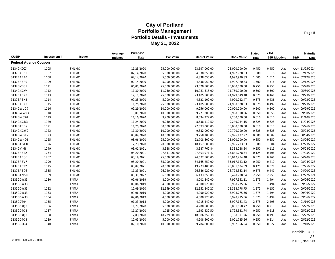|                              |             |              | Average        | Purchase   |               |                     |                   | <b>Stated</b> | <b>YTM</b>  |     |     | <b>Maturity</b> |
|------------------------------|-------------|--------------|----------------|------------|---------------|---------------------|-------------------|---------------|-------------|-----|-----|-----------------|
| <b>CUSIP</b>                 | Investment# | Issuer       | <b>Balance</b> | Date       | Par Value     | <b>Market Value</b> | <b>Book Value</b> | Rate          | 365 Moody's |     | S&P | Date            |
| <b>Federal Agency Coupon</b> |             |              |                |            |               |                     |                   |               |             |     |     |                 |
| 3134GXDZ4                    | 1105        | <b>FHLMC</b> |                | 11/25/2020 | 25,000,000.00 | 23,597,000.00       | 25,000,000.00     | 0.450         | 0.450       | Aaa |     | AA+ 11/25/2024  |
| 3137EAEP0                    | 1107        | <b>FHLMC</b> |                | 02/14/2020 | 5,000,000.00  | 4,838,050.00        | 4,997,920.83      | 1.500         | 1.516       | Aaa |     | AA+ 02/12/2025  |
| 3137EAEP0                    | 1108        | <b>FHLMC</b> |                | 02/14/2020 | 5,000,000.00  | 4,838,050.00        | 4,997,920.83      | 1.500         | 1.516       | Aaa |     | AA+ 02/12/2025  |
| 3137EAEP0                    | 1109        | <b>FHLMC</b> |                | 02/14/2020 | 5,000,000.00  | 4,838,050.00        | 4,997,920.83      | 1.500         | 1.516       | Aaa |     | AA+ 02/12/2025  |
| 3134GVB31                    | 1111        | <b>FHLMC</b> |                | 06/01/2020 | 25,000,000.00 | 23,520,500.00       | 25,000,000.00     | 0.750         | 0.750       | Aaa |     | AA+ 05/28/2025  |
| 3134GXCV4                    | 1112        | <b>FHLMC</b> |                | 11/30/2020 | 11,750,000.00 | 10,981,315.00       | 11,750,000.00     | 0.500         | 0.500       | Aaa |     | AA+ 05/30/2025  |
| 3137EAEX3                    | 1113        | <b>FHLMC</b> |                | 12/11/2020 | 25,000,000.00 | 23,105,500.00       | 24,929,549.48     | 0.375         | 0.461       | Aaa |     | AA+ 09/23/2025  |
| 3137EAEX3                    | 1114        | <b>FHLMC</b> |                | 09/25/2020 | 5,000,000.00  | 4,621,100.00        | 4,990,022.47      | 0.375         | 0.436       | Aaa |     | AA+ 09/23/2025  |
| 3137EAEX3                    | 1115        | <b>FHLMC</b> |                | 11/25/2020 | 25,000,000.00 | 23,105,500.00       | 24,900,020.83     | 0.375         | 0.497       | Aaa |     | AA+ 09/23/2025  |
| 3134GWVC7                    | 1116        | <b>FHLMC</b> |                | 09/29/2020 | 10,000,000.00 | 9,256,000.00        | 10,000,000.00     | 0.500         | 0.500       | Aaa |     | AA+ 09/29/2025  |
| 3134GWW93                    | 1118        | <b>FHLMC</b> |                | 10/01/2020 | 10,000,000.00 | 9,271,200.00        | 9,998,000.56      | 0.550         | 0.556       | Aaa |     | AA+ 09/30/2025  |
| 3134GW6S0                    | 1119        | <b>FHLMC</b> |                | 11/10/2020 | 9,200,000.00  | 8,594,272.00        | 9,200,000.00      | 0.610         | 0.610       | Aaa |     | AA+ 11/10/2025  |
| 3134GXCR3                    | 1120        | <b>FHLMC</b> |                | 11/24/2020 | 9,250,000.00  | 8,638,112.50        | 9,249,034.15      | 0.625         | 0.628       | Aaa |     | AA+ 11/24/2025  |
| 3134GXES9                    | 1121        | <b>FHLMC</b> |                | 11/25/2020 | 30,000,000.00 | 27,693,000.00       | 30,000,000.00     | 0.610         | 0.610       | Aaa |     | AA+ 05/26/2026  |
| 3134GXCW2                    | 1122        | <b>FHLMC</b> |                | 11/30/2020 | 10,700,000.00 | 9,882,092.00        | 10,700,000.00     | 0.625         | 0.625       | Aaa |     | AA+ 05/28/2026  |
| 3134GWGF7                    | 1123        | <b>FHLMC</b> |                | 08/04/2020 | 10,000,000.00 | 9,258,700.00        | 9,996,172.92      | 0.800         | 0.809       | Aaa |     | AA+ 08/04/2026  |
| 3134GWKQ8                    | 1125        | <b>FHLMC</b> |                | 08/06/2020 | 25,000,000.00 | 22,708,500.00       | 25,000,000.00     | 0.850         | 0.850       | Aaa |     | AA+ 08/06/2027  |
| 3134GXGE8                    | 1126        | <b>FHLMC</b> |                | 12/23/2020 | 20,000,000.00 | 18,157,600.00       | 19,995,233.33     | 1.000         | 1.004       | Aaa |     | AA+ 12/23/2027  |
| 3134GVJ66                    | 1249        | <b>FHLMC</b> |                | 03/01/2021 | 3,388,000.00  | 3,387,762.84        | 3,388,088.84      | 0.250         | 0.115       | Aaa |     | AA+ 06/08/2022  |
| 3137EAET2                    | 1274        | <b>FHLMC</b> |                | 04/20/2021 | 27,841,000.00 | 27,803,971.47       | 27,841,778.34     | 0.125         | 0.106       | Aaa |     | AA+ 07/25/2022  |
| 3137EAEQ8                    | 1287        | <b>FHLMC</b> |                | 05/19/2021 | 25,000,000.00 | 24,632,500.00       | 25,047,284.48     | 0.375         | 0.161       | Aaa |     | AA+ 04/20/2023  |
| 3137EAEV7                    | 1290        | <b>FHLMC</b> |                | 05/20/2021 | 35,000,000.00 | 34, 165, 250.00     | 35,017,143.12     | 0.250         | 0.210       | Aaa |     | AA+ 08/24/2023  |
| 3137EAET2                    | 1315        | <b>FHLMC</b> |                | 08/02/2021 | 20,000,000.00 | 19,973,400.00       | 20,001,624.59     | 0.125         | 0.071       | Aaa |     | AA+ 07/25/2022  |
| 3137EAEQ8                    | 1335        | <b>FHLMC</b> |                | 11/23/2021 | 26,740,000.00 | 26,346,922.00       | 26,724,353.14     | 0.375         | 0.441       | Aaa |     | AA+ 04/20/2023  |
| 3134GXNS9                    | 1389        | <b>FHLMC</b> |                | 03/31/2022 | 6,500,000.00  | 6,433,050.00        | 6,498,780.34      | 2.250         | 2.258       | Aaa |     | AA+ 12/27/2024  |
| 3135G0W33                    | 1130        | <b>FNMA</b>  |                | 09/06/2019 | 8,000,000.00  | 8,001,840.00        | 7,997,551.11      | 1.375         | 1.494       | Aaa |     | AA+ 09/06/2022  |
| 3135G0W33                    | 1131        | <b>FNMA</b>  |                | 09/06/2019 | 4,000,000.00  | 4,000,920.00        | 3,998,775.56      | 1.375         | 1.494       | Aaa |     | AA+ 09/06/2022  |
| 3135G0W33                    | 1132        | <b>FNMA</b>  |                | 12/09/2020 | 12,349,000.00 | 12,351,840.27       | 12,388,778.75     | 1.375         | 0.152       | Aaa |     | AA+ 09/06/2022  |
| 3135G0W33                    | 1133        | <b>FNMA</b>  |                | 09/06/2019 | 4,000,000.00  | 4,000,920.00        | 3,998,775.56      | 1.375         | 1.494       | Aaa |     | AA+ 09/06/2022  |
| 3135G0W33                    | 1134        | <b>FNMA</b>  |                | 09/06/2019 | 4,000,000.00  | 4,000,920.00        | 3,998,775.56      | 1.375         | 1.494       | Aaa |     | AA+ 09/06/2022  |
| 3135G0T94                    | 1135        | <b>FNMA</b>  |                | 01/23/2018 | 4,000,000.00  | 4,015,440.00        | 3,997,161.43      | 2.375         | 2.495       | Aaa |     | AA+ 01/19/2023  |
| 3135G04Q3                    | 1136        | <b>FNMA</b>  |                | 11/27/2020 | 5,000,000.00  | 4,908,500.00        | 5,001,568.72      | 0.250         | 0.218       | Aaa |     | AA+ 05/22/2023  |
| 3135G04Q3                    | 1137        | <b>FNMA</b>  |                | 11/27/2020 | 1,725,000.00  | 1,693,432.50        | 1,725,531.74      | 0.250         | 0.218       | Aaa |     | AA+ 05/22/2023  |
| 3135G04Q3                    | 1138        | <b>FNMA</b>  |                | 12/03/2020 | 18,729,000.00 | 18,386,259.30       | 18,738,391.26     | 0.250         | 0.198       | Aaa |     | AA+ 05/22/2023  |
| 3135G04Q3                    | 1139        | <b>FNMA</b>  |                | 12/03/2020 | 5,000,000.00  | 4,908,500.00        | 5,001,735.26      | 0.250         | 0.214       | Aaa |     | AA+ 05/22/2023  |
| 3135G05G4                    | 1140        | <b>FNMA</b>  |                | 07/10/2020 | 10,000,000.00 | 9,784,800.00        | 9,992,056.94      | 0.250         | 0.322       | Aaa |     | AA+ 07/10/2023  |

Portfolio PORT AP Run Date: 06/06/2022 - 10:05 PM (PRF\_PM2) 7.3.0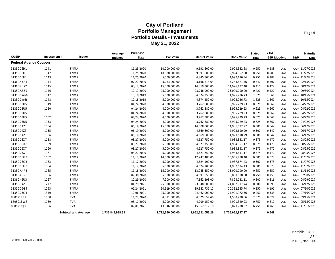|                              |             |                             | Average          | Purchase   |                  |                     |                   | <b>Stated</b> | <b>YTM</b>  |     |     | <b>Maturity</b> |
|------------------------------|-------------|-----------------------------|------------------|------------|------------------|---------------------|-------------------|---------------|-------------|-----|-----|-----------------|
| <b>CUSIP</b>                 | Investment# | <b>Issuer</b>               | <b>Balance</b>   | Date       | <b>Par Value</b> | <b>Market Value</b> | <b>Book Value</b> | Rate          | 365 Moody's |     | S&P | Date            |
| <b>Federal Agency Coupon</b> |             |                             |                  |            |                  |                     |                   |               |             |     |     |                 |
| 3135G06H1                    | 1141        | <b>FNMA</b>                 |                  | 11/25/2020 | 10,000,000.00    | 9,691,600.00        | 9,994,352.68      | 0.250         | 0.288       | Aaa |     | AA+ 11/27/2023  |
| 3135G06H1                    | 1142        | <b>FNMA</b>                 |                  | 11/25/2020 | 10,000,000.00    | 9,691,600.00        | 9,994,352.68      | 0.250         | 0.288       | Aaa |     | AA+ 11/27/2023  |
| 3135G06H1                    | 1143        | <b>FNMA</b>                 |                  | 11/25/2020 | 5,000,000.00     | 4,845,800.00        | 4,997,176.34      | 0.250         | 0.288       | Aaa |     | AA+ 11/27/2023  |
| 3136G4YA5                    | 1144        | <b>FNMA</b>                 |                  | 07/27/2020 | 3,283,000.00     | 3,166,814.63        | 3,284,821.76      | 0.340         | 0.307       | Aaa |     | AA+ 02/15/2024  |
| 3136G4H22                    | 1145        | <b>FNMA</b>                 |                  | 08/12/2020 | 15,000,000.00    | 14,319,300.00       | 14,996,127.40     | 0.410         | 0.422       | Aaa |     | AA+ 08/12/2024  |
| 3135GAB59                    | 1146        | <b>FNMA</b>                 |                  | 12/17/2020 | 25,000,000.00    | 23,746,000.00       | 25,000,000.00     | 0.420         | 0.420       | Aaa |     | AA+ 09/30/2024  |
| 3135G0W66                    | 1147        | <b>FNMA</b>                 |                  | 10/18/2019 | 5,000,000.00     | 4,874,250.00        | 4,995,936.73      | 1.625         | 1.661       | Aaa |     | AA+ 10/15/2024  |
| 3135G0W66                    | 1148        | <b>FNMA</b>                 |                  | 10/18/2019 | 5,000,000.00     | 4,874,250.00        | 4,995,936.73      | 1.625         | 1.661       | Aaa |     | AA+ 10/15/2024  |
| 3135G03U5                    | 1149        | <b>FNMA</b>                 |                  | 04/24/2020 | 4,000,000.00     | 3,762,880.00        | 3,995,229.23      | 0.625         | 0.667       | Aaa |     | AA+ 04/22/2025  |
| 3135G03U5                    | 1150        | <b>FNMA</b>                 |                  | 04/24/2020 | 4,000,000.00     | 3,762,880.00        | 3,995,229.23      | 0.625         | 0.667       | Aaa |     | AA+ 04/22/2025  |
| 3135G03U5                    | 1151        | <b>FNMA</b>                 |                  | 04/24/2020 | 4,000,000.00     | 3,762,880.00        | 3,995,229.23      | 0.625         | 0.667       | Aaa |     | AA+ 04/22/2025  |
| 3135G03U5                    | 1152        | <b>FNMA</b>                 |                  | 04/24/2020 | 4,000,000.00     | 3,762,880.00        | 3,995,229.23      | 0.625         | 0.667       | Aaa |     | AA+ 04/22/2025  |
| 3135G03U5                    | 1153        | <b>FNMA</b>                 |                  | 04/24/2020 | 4,000,000.00     | 3,762,880.00        | 3,995,229.23      | 0.625         | 0.667       | Aaa |     | AA+ 04/22/2025  |
| 3135G04Z3                    | 1154        | <b>FNMA</b>                 |                  | 06/19/2020 | 15,000,000.00    | 14,008,800.00       | 14,981,072.97     | 0.500         | 0.542       | Aaa |     | AA+ 06/17/2025  |
| 3135G04Z3                    | 1155        | <b>FNMA</b>                 |                  | 06/19/2020 | 5,000,000.00     | 4,669,600.00        | 4,993,690.99      | 0.500         | 0.542       | Aaa |     | AA+ 06/17/2025  |
| 3135G04Z3                    | 1156        | <b>FNMA</b>                 |                  | 06/19/2020 | 5,000,000.00     | 4,669,600.00        | 4,993,690.99      | 0.500         | 0.542       | Aaa |     | AA+ 06/17/2025  |
| 3135G05X7                    | 1158        | <b>FNMA</b>                 |                  | 08/27/2020 | 5,000,000.00     | 4,627,750.00        | 4,984,851.17      | 0.375         | 0.470       | Aaa |     | AA+ 08/25/2025  |
| 3135G05X7                    | 1159        | <b>FNMA</b>                 |                  | 08/27/2020 | 5,000,000.00     | 4,627,750.00        | 4,984,851.17      | 0.375         | 0.470       | Aaa |     | AA+ 08/25/2025  |
| 3135G05X7                    | 1160        | <b>FNMA</b>                 |                  | 08/27/2020 | 5,000,000.00     | 4,627,750.00        | 4,984,851.17      | 0.375         | 0.470       | Aaa |     | AA+ 08/25/2025  |
| 3135G05X7                    | 1161        | <b>FNMA</b>                 |                  | 08/27/2020 | 5,000,000.00     | 4,627,750.00        | 4,984,851.17      | 0.375         | 0.470       | Aaa |     | AA+ 08/25/2025  |
| 3135G06G3                    | 1162        | <b>FNMA</b>                 |                  | 11/12/2020 | 14,000,000.00    | 12,947,480.00       | 13,965,488.40     | 0.500         | 0.573       | Aaa |     | AA+ 11/07/2025  |
| 3135G06G3                    | 1163        | <b>FNMA</b>                 |                  | 11/12/2020 | 5,000,000.00     | 4,624,100.00        | 4,987,674.43      | 0.500         | 0.573       | Aaa |     | AA+ 11/07/2025  |
| 3135G06G3                    | 1164        | <b>FNMA</b>                 |                  | 11/12/2020 | 5,000,000.00     | 4,624,100.00        | 4,987,674.43      | 0.500         | 0.573       | Aaa |     | AA+ 11/07/2025  |
| 3135GA4P3                    | 1165        | <b>FNMA</b>                 |                  | 11/18/2020 | 15,000,000.00    | 13,945,350.00       | 15,000,000.00     | 0.650         | 0.650       | Aaa |     | AA+ 11/18/2025  |
| 3136G4D91                    | 1166        | <b>FNMA</b>                 |                  | 07/30/2020 | 5,000,000.00     | 4,591,550.00        | 5,000,000.00      | 0.750         | 0.750       | Aaa |     | AA+ 07/30/2026  |
| 3136G45U3                    | 1167        | <b>FNMA</b>                 |                  | 10/29/2020 | 7,900,000.00     | 7,162,298.00        | 7,894,031.11      | 0.800         | 0.816       | Aaa |     | AA+ 04/29/2027  |
| 3135G04Z3                    | 1277        | <b>FNMA</b>                 |                  | 04/29/2021 | 25,000,000.00    | 23,348,000.00       | 24,857,917.74     | 0.500         | 0.690       | Aaa |     | AA+ 06/17/2025  |
| 3135G05G4                    | 1293        | <b>FNMA</b>                 |                  | 05/24/2021 | 20,319,000.00    | 19,881,735.12       | 20,332,335.74     | 0.250         | 0.191       | Aaa |     | AA+ 07/10/2023  |
| 3135G05G4                    | 1340        | <b>FNMA</b>                 |                  | 12/06/2021 | 25,000,000.00    | 24,462,000.00       | 24,921,972.56     | 0.250         | 0.533       | Aaa |     | AA+ 07/10/2023  |
| 880591ER9                    | 1168        | <b>TVA</b>                  |                  | 11/27/2020 | 4,311,000.00     | 4,325,657.40        | 4,560,930.86      | 2.875         | 0.324       | Aaa |     | AA+ 09/15/2024  |
| 880591EW8                    | 1169        | <b>TVA</b>                  |                  | 05/11/2020 | 5,000,000.00     | 4,709,150.00        | 4,991,329.93      | 0.750         | 0.810       | Aaa |     | AA+ 05/15/2025  |
| 880591CJ9                    | 1306        | <b>TVA</b>                  |                  | 07/01/2021 | 13,346,000.00    | 15,052,019.18       | 16,023,738.87     | 6.750         | 0.768       | Aaa |     | AA+ 11/01/2025  |
|                              |             | <b>Subtotal and Average</b> | 1,735,849,998.63 |            | 1,722,650,000.00 | 1,662,631,055.26    | 1,726,662,897.87  |               | 0.648       |     |     |                 |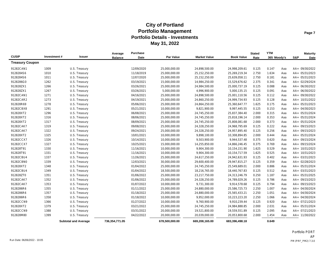|                        |             |                             | Average        | Purchase   |                  |                     |                   | <b>Stated</b> | <b>YTM</b>  |     |     | <b>Maturity</b> |
|------------------------|-------------|-----------------------------|----------------|------------|------------------|---------------------|-------------------|---------------|-------------|-----|-----|-----------------|
| <b>CUSIP</b>           | Investment# | <b>Issuer</b>               | <b>Balance</b> | Date       | <b>Par Value</b> | <b>Market Value</b> | <b>Book Value</b> | Rate          | 365 Moody's |     | S&P | Date            |
| <b>Treasury Coupon</b> |             |                             |                |            |                  |                     |                   |               |             |     |     |                 |
| 91282CAN1              | 1009        | U.S. Treasury               |                | 12/09/2020 | 25,000,000.00    | 24,898,500.00       | 24,998,209.61     | 0.125         | 0.147       | Aaa |     | AA+ 09/30/2022  |
| 9128284S6              | 1010        | U.S. Treasury               |                | 11/18/2019 | 25,000,000.00    | 25,152,250.00       | 25,269,219.34     | 2.750         | 1.634       | Aaa |     | AA+ 05/31/2023  |
| 9128284S6              | 1011        | U.S. Treasury               |                | 12/07/2020 | 25,000,000.00    | 25,152,250.00       | 25,639,058.11     | 2.750         | 0.181       | Aaa |     | AA+ 05/31/2023  |
| 9128286G0              | 1262        | U.S. Treasury               |                | 03/19/2021 | 15,000,000.00    | 14,984,250.00       | 15,529,676.62     | 2.375         | 0.341       | Aaa |     | AA+ 02/29/2024  |
| 912828ZX1              | 1266        | U.S. Treasury               |                | 03/26/2021 | 25,000,000.00    | 24,984,500.00       | 25,000,737.19     | 0.125         | 0.088       | Aaa |     | AA+ 06/30/2022  |
| 912828ZX1              | 1267        | U.S. Treasury               |                | 03/26/2021 | 5,000,000.00     | 4,996,900.00        | 5,000,135.15      | 0.125         | 0.091       | Aaa |     | AA+ 06/30/2022  |
| 91282CAN1              | 1271        | U.S. Treasury               |                | 04/16/2021 | 25,000,000.00    | 24,898,500.00       | 25,001,110.56     | 0.125         | 0.112       | Aaa |     | AA+ 09/30/2022  |
| 91282CAR2              | 1273        | U.S. Treasury               |                | 04/19/2021 | 25,000,000.00    | 24,860,250.00       | 24,999,734.93     | 0.125         | 0.128       | Aaa |     | AA+ 10/31/2022  |
| 912828R69              | 1278        | U.S. Treasury               |                | 05/06/2021 | 25,000,000.00    | 24,864,250.00       | 25,360,647.77     | 1.625         | 0.175       | Aaa |     | AA+ 05/31/2023  |
| 91282CBX8              | 1291        | U.S. Treasury               |                | 05/21/2021 | 10,000,000.00    | 9,821,900.00        | 9,997,445.55      | 0.125         | 0.153       | Aaa |     | AA+ 04/30/2023  |
| 912828XT2              | 1296        | U.S. Treasury               |                | 06/08/2021 | 25,000,000.00    | 24,745,250.00       | 25,837,384.40     | 2.000         | 0.315       | Aaa |     | AA+ 05/31/2024  |
| 912828XT2              | 1316        | U.S. Treasury               |                | 08/06/2021 | 25,000,000.00    | 24,745,250.00       | 25,818,196.14     | 2.000         | 0.353       | Aaa |     | AA+ 05/31/2024  |
| 912828XT2              | 1317        | U.S. Treasury               |                | 08/09/2021 | 25,000,000.00    | 24,745,250.00       | 25,808,081.68     | 2.000         | 0.373       | Aaa |     | AA+ 05/31/2024  |
| 91282CAK7              | 1319        | U.S. Treasury               |                | 09/08/2021 | 25,000,000.00    | 24,328,250.00       | 24,968,795.69     | 0.125         | 0.222       | Aaa |     | AA+ 09/15/2023  |
| 91282CAK7              | 1322        | U.S. Treasury               |                | 09/24/2021 | 25,000,000.00    | 24,328,250.00       | 24,957,895.40     | 0.125         | 0.256       | Aaa |     | AA+ 09/15/2023  |
| 912828XT2              | 1325        | U.S. Treasury               |                | 10/01/2021 | 10,000,000.00    | 9,898,100.00        | 10,308,894.85     | 2.000         | 0.444       | Aaa |     | AA+ 05/31/2024  |
| 91282CCX7              | 1326        | U.S. Treasury               |                | 10/14/2021 | 10,000,000.00    | 9,503,900.00        | 9,944,537.48      | 0.375         | 0.620       | Aaa |     | AA+ 09/15/2024  |
| 91282CCX7              | 1327        | U.S. Treasury               |                | 10/25/2021 | 15,000,000.00    | 14,255,850.00       | 14,866,246.45     | 0.375         | 0.769       | Aaa |     | AA+ 09/15/2024  |
| 912828T91              | 1330        | U.S. Treasury               |                | 11/16/2021 | 10,000,000.00    | 9,904,300.00        | 10,154,151.90     | 1.625         | 0.529       | Aaa |     | AA+ 10/31/2023  |
| 912828T91              | 1331        | U.S. Treasury               |                | 11/16/2021 | 10,000,000.00    | 9,904,300.00        | 10,154,717.59     | 1.625         | 0.525       | Aaa |     | AA+ 10/31/2023  |
| 91282CBU4              | 1337        | U.S. Treasury               |                | 11/26/2021 | 25,000,000.00    | 24,617,250.00       | 24,942,631.93     | 0.125         | 0.402       | Aaa |     | AA+ 03/31/2023  |
| 91282CBN0              | 1339        | U.S. Treasury               |                | 12/03/2021 | 30,000,000.00    | 29,600,400.00       | 29,947,815.27     | 0.125         | 0.359       | Aaa |     | AA+ 02/28/2023  |
| 912828XT2              | 1348        | U.S. Treasury               |                | 01/04/2022 | 25,000,000.00    | 24,745,250.00       | 25,549,689.01     | 2.000         | 0.886       | Aaa |     | AA+ 05/31/2024  |
| 91282CBU4              | 1349        | U.S. Treasury               |                | 01/04/2022 | 18,500,000.00    | 18,216,765.00       | 18,440,767.83     | 0.125         | 0.512       | Aaa |     | AA+ 03/31/2023  |
| 912828ZT0              | 1351        | U.S. Treasury               |                | 01/06/2022 | 25,000,000.00    | 23,217,750.00       | 24,313,246.79     | 0.250         | 1.187       | Aaa |     | AA+ 05/31/2025  |
| 91282CAK7              | 1352        | U.S. Treasury               |                | 01/06/2022 | 25,000,000.00    | 24,328,250.00       | 24,789,029.26     | 0.125         | 0.786       | Aaa |     | AA+ 09/15/2023  |
| 91282CAK7              | 1353        | U.S. Treasury               |                | 01/07/2022 | 10,000,000.00    | 9,731,300.00        | 9,914,578.68      | 0.125         | 0.794       | Aaa |     | AA+ 09/15/2023  |
| 9128286R6              | 1355        | U.S. Treasury               |                | 01/11/2022 | 25,000,000.00    | 24,880,000.00       | 25,586,725.73     | 2.250         | 1.007       | Aaa |     | AA+ 04/30/2024  |
| 9128286R6              | 1357        | U.S. Treasury               |                | 01/18/2022 | 25,000,000.00    | 24,880,000.00       | 25,565,433.21     | 2.250         | 1.051       | Aaa |     | AA+ 04/30/2024  |
| 9128286R6              | 1358        | U.S. Treasury               |                | 01/18/2022 | 10,000,000.00    | 9,952,000.00        | 10,223,223.20     | 2.250         | 1.066       | Aaa |     | AA+ 04/30/2024  |
| 91282CCN9              | 1366        | U.S. Treasury               |                | 01/27/2022 | 10,000,000.00    | 9,760,900.00        | 9,910,239.44      | 0.125         | 0.920       | Aaa |     | AA+ 07/21/2023  |
| 912828XT2              | 1379        | U.S. Treasury               |                | 03/21/2022 | 25,000,000.00    | 24,745,250.00       | 24,984,888.85     | 2.000         | 2.031       | Aaa |     | AA+ 05/31/2024  |
| 91282CCN9              | 1388        | U.S. Treasury               |                | 03/31/2022 | 20,000,000.00    | 19,521,800.00       | 19,559,551.89     | 0.125         | 2.095       | Aaa |     | AA+ 07/21/2023  |
| 912828M80              | 1399        | U.S. Treasury               |                | 04/22/2022 | 20,000,000.00    | 20,039,000.00       | 20,053,800.68     | 2.000         | 1.454       | Aaa |     | AA+ 11/30/2022  |
|                        |             | <b>Subtotal and Average</b> | 736.354,771.05 |            | 678,500,000.00   | 669,208,165.00      | 683,396,498.18    |               | 0.649       |     |     |                 |

Portfolio PORT AP Run Date: 06/06/2022 - 10:05 PM (PRF\_PM2) 7.3.0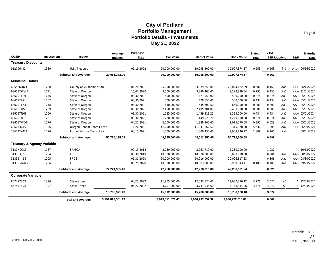| <b>CUSIP</b>                          | Investment# | Issuer                      | Average<br><b>Balance</b> | Purchase<br>Date | <b>Par Value</b> | <b>Market Value</b> | <b>Book Value</b> | <b>Stated</b><br>Rate | <b>YTM</b><br>365 Moody's |       | S&P | <b>Maturity</b><br>Date |
|---------------------------------------|-------------|-----------------------------|---------------------------|------------------|------------------|---------------------|-------------------|-----------------------|---------------------------|-------|-----|-------------------------|
| <b>Treasury Discounts</b>             |             |                             |                           |                  |                  |                     |                   |                       |                           |       |     |                         |
| 912796J42                             | 1359        | U.S. Treasury               |                           | 01/19/2022       | 20,000,000.00    | 19,995,200.00       | 19,997,874.17     | 0.255                 | 0.263                     | $P-1$ |     | A-1+ 06/16/2022         |
|                                       |             | <b>Subtotal and Average</b> | 27,051,372.09             |                  | 20,000,000.00    | 19,995,200.00       | 19,997,874.17     |                       | 0.263                     |       |     |                         |
| <b>Municipal Bonds</b>                |             |                             |                           |                  |                  |                     |                   |                       |                           |       |     |                         |
| 625506QN3                             | 1230        | County of Multnomah, OR     |                           | 01/28/2021       | 25,000,000.00    | 23,339,250.00       | 25,024,122.89     | 0.500                 | 0.468                     | Aaa   |     | AAA 06/15/2025          |
| 68609TWW4                             | 1171        | State of Oregon             |                           | 10/07/2020       | 3,500,000.00     | 3,340,400.00        | 3,528,899.54      | 0.795                 | 0.450                     | Aa1   |     | AA+ 11/01/2024          |
| 68609TL89                             | 1256        | State of Oregon             |                           | 03/30/2021       | 500,000.00       | 471,950.00          | 500,000.00        | 0.874                 | 0.874                     | Aa1   |     | AA+ 05/01/2025          |
| 68609TL71                             | 1257        | State of Oregon             |                           | 03/30/2021       | 500,000.00       | 479,550.00          | 500,000.00        | 0.434                 | 0.434                     | Aa1   |     | AA+ 05/01/2024          |
| 68609TL63                             | 1258        | State of Oregon             |                           | 03/30/2021       | 650,000.00       | 635,602.50          | 650.000.00        | 0.201                 | 0.201                     | Aa1   |     | AA+ 05/01/2023          |
| 68609TN53                             | 1259        | State of Oregon             |                           | 03/30/2021       | 2,450,000.00     | 2,405,704.00        | 2,450,000.00      | 0.201                 | 0.201                     | Aa1   |     | AA+ 05/01/2023          |
| 68609TN61                             | 1260        | State of Oregon             |                           | 03/30/2021       | 1,525,000.00     | 1,459,318.25        | 1,525,000.00      | 0.434                 | 0.434                     | Aa1   |     | AA+ 05/01/2024          |
| 68609TN79                             | 1261        | State of Oregon             |                           | 03/30/2021       | 1,220,000.00     | 1,149,923.20        | 1,220,000.00      | 0.874                 | 0.874                     | Aa1   |     | AA+ 05/01/2025          |
| 68609TWD6                             | 1276        | State of Oregon             |                           | 04/27/2021       | 2,000,000.00     | 1,888,960.00        | 2,015,270.08      | 0.895                 | 0.629                     | Aa1   |     | AA+ 05/01/2025          |
| 686053CP2                             | 1336        | Oregon School Boards Assc   |                           | 11/26/2021       | 11,250,000.00    | 11,841,862.50       | 12,315,370.30     | 5.630                 | 1.006                     | Aa2   |     | AA 06/30/2024           |
| 73474TAM2                             | 1270        | Port of Morrow Trans Rev    |                           | 04/15/2021       | 1,000,000.00     | 1,000,430.00        | 1,003,846.77      | 1.809                 | 0.266                     | Aa2   |     | 09/01/2022              |
|                                       |             | <b>Subtotal and Average</b> | 50,754,135.02             |                  | 49,595,000.00    | 48,012,950.45       | 50,732,509.58     |                       | 0.596                     |       |     |                         |
| <b>Treasury &amp; Agency Variable</b> |             |                             |                           |                  |                  |                     |                   |                       |                           |       |     |                         |
| 3132X0CL3                             | 1187        | <b>FAMCA</b>                |                           | 09/13/2018       | 2,250,000.00     | 2,251,710.00        | 2,250,000.00      |                       | 1.027                     |       |     | 10/13/2022              |
| 3133EKJ56                             | 1204        | <b>FFCB</b>                 |                           | 08/30/2019       | 10,000,000.00    | 10,008,000.00       | 10,000,000.00     |                       | 0.204                     | Aaa   |     | AA+ 08/30/2022          |
| 3133EKJ56                             | 1205        | <b>FFCB</b>                 |                           | 01/31/2020       | 20,000,000.00    | 20,016,000.00       | 20,006,817.83     |                       | 0.366                     | Aaa   |     | AA+ 08/30/2022          |
| 3133EMAW2                             | 1206        | <b>FFCB</b>                 |                           | 09/25/2020       | 10,000,000.00    | 10,003,000.00       | 9,999,843.41      | 0.180                 | 0.188                     | Aaa   |     | AA+ 09/23/2022          |
|                                       |             | <b>Subtotal and Average</b> | 72,224,955.40             |                  | 42,250,000.00    | 42.278.710.00       | 42,256,661.24     |                       | 0.321                     |       |     |                         |
| <b>Corporate Variable</b>             |             |                             |                           |                  |                  |                     |                   |                       |                           |       |     |                         |
| 857477BC6                             | 1396        | <b>State Street</b>         |                           | 04/22/2022       | 11,905,000.00    | 12,033,574.00       | 12.037.776.12     | 3.776                 | 3.072                     | A1    |     | A 12/03/2024            |
| 857477BC6                             | 1397        | <b>State Street</b>         |                           | 04/22/2022       | 3,707,000.00     | 3,747,035.60        | 3,748,344.06      | 3.776                 | 3.072                     | A1    |     | A 12/03/2024            |
|                                       |             | <b>Subtotal and Average</b> | 15,788,971.49             |                  | 15,612,000.00    | 15,780,609.60       | 15,786,120.18     |                       | 3.072                     |       |     |                         |
|                                       |             | <b>Total and Average</b>    | 3,191,823,581.19          |                  | 3,019,311,571.41 | 2,946,737,652.32    | 3,030,272,513.81  |                       | 0.807                     |       |     |                         |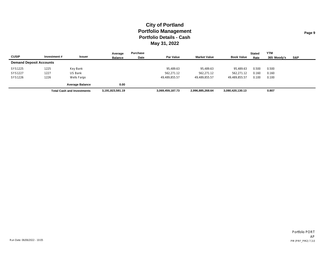|                                |             |                                   | Average          | Purchase |                  |                     |                   | <b>Stated</b> | <b>YTM</b>  |     |
|--------------------------------|-------------|-----------------------------------|------------------|----------|------------------|---------------------|-------------------|---------------|-------------|-----|
| <b>CUSIP</b>                   | Investment# | Issuer                            | <b>Balance</b>   | Date     | <b>Par Value</b> | <b>Market Value</b> | <b>Book Value</b> | Rate          | 365 Moodv's | S&P |
| <b>Demand Deposit Accounts</b> |             |                                   |                  |          |                  |                     |                   |               |             |     |
| SYS1225                        | 1225        | Key Bank                          |                  |          | 95.489.63        | 95.489.63           | 95.489.63         | 0.500         | 0.500       |     |
| SYS1227                        | 1227        | <b>US Bank</b>                    |                  |          | 562,271.12       | 562,271.12          | 562,271.12        | 0.160         | 0.160       |     |
| SYS1226                        | 1226        | Wells Fargo                       |                  |          | 49,489,855.57    | 49,489,855.57       | 49,489,855.57     | 0.100         | 0.100       |     |
|                                |             | <b>Average Balance</b>            | 0.00             |          |                  |                     |                   |               |             |     |
|                                |             | <b>Total Cash and Investments</b> | 3,191,823,581.19 |          | 3,069,459,187.73 | 2,996,885,268.64    | 3,080,420,130.13  |               | 0.807       |     |

Portfolio PORT AP